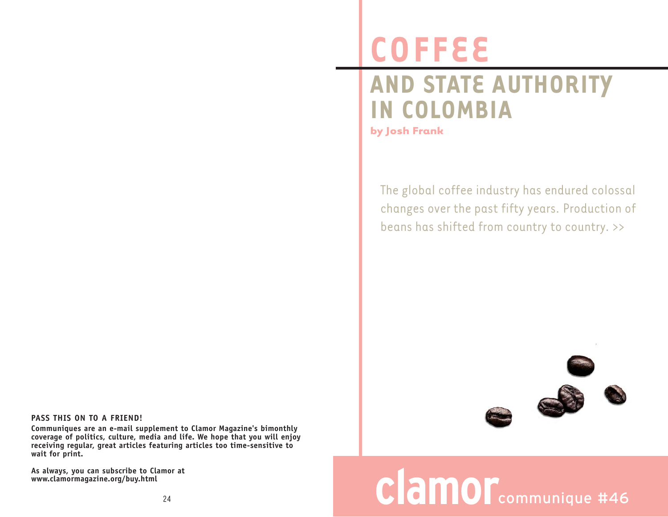## **COFFEE**

## **AND STATE AUTHORITY IN COLOMBIA**

**by Josh Frank**

The global coffee industry has endured colossal changes over the past fifty years. Production of beans has shifted from country to country. >>



## **clamor**communique #46

## **PASS THIS ON TO A FRIEND!**

**Communiques are an e-mail supplement to Clamor Magazine's bimonthly coverage of politics, culture, media and life. We hope that you will enjoy receiving regular, great articles featuring articles too time-sensitive to wait for print.** 

**As always, you can subscribe to Clamor at www.clamormagazine.org/buy.html**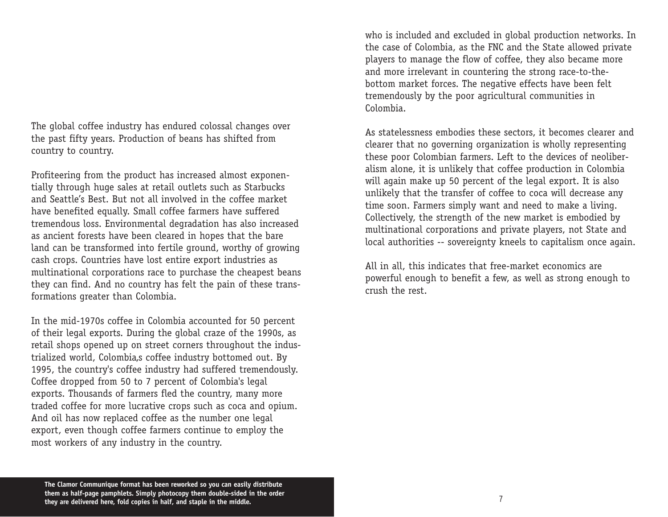The global coffee industry has endured colossal changes over the past fifty years. Production of beans has shifted from country to country.

Profiteering from the product has increased almost exponentially through huge sales at retail outlets such as Starbucks and Seattle's Best. But not all involved in the coffee market have benefited equally. Small coffee farmers have suffered tremendous loss. Environmental degradation has also increased as ancient forests have been cleared in hopes that the bare land can be transformed into fertile ground, worthy of growing cash crops. Countries have lost entire export industries as multinational corporations race to purchase the cheapest beans they can find. And no country has felt the pain of these transformations greater than Colombia.

In the mid-1970s coffee in Colombia accounted for 50 percent of their legal exports. During the global craze of the 1990s, as retail shops opened up on street corners throughout the industrialized world, Colombia,s coffee industry bottomed out. By 1995, the country's coffee industry had suffered tremendously. Coffee dropped from 50 to 7 percent of Colombia's legal exports. Thousands of farmers fled the country, many more traded coffee for more lucrative crops such as coca and opium. And oil has now replaced coffee as the number one legal export, even though coffee farmers continue to employ the most workers of any industry in the country.

who is included and excluded in global production networks. In the case of Colombia, as the FNC and the State allowed private players to manage the flow of coffee, they also became more and more irrelevant in countering the strong race-to-thebottom market forces. The negative effects have been felt tremendously by the poor agricultural communities in Colombia.

As statelessness embodies these sectors, it becomes clearer and clearer that no governing organization is wholly representing these poor Colombian farmers. Left to the devices of neoliberalism alone, it is unlikely that coffee production in Colombia will again make up 50 percent of the legal export. It is also unlikely that the transfer of coffee to coca will decrease any time soon. Farmers simply want and need to make a living. Collectively, the strength of the new market is embodied by multinational corporations and private players, not State and local authorities -- sovereignty kneels to capitalism once again.

All in all, this indicates that free-market economics are powerful enough to benefit a few, as well as strong enough to crush the rest.

**The Clamor Communique format has been reworked so you can easily distribute them as half-page pamphlets. Simply photocopy them double-sided in the order they are delivered here, fold copies in half, and staple in the middle.**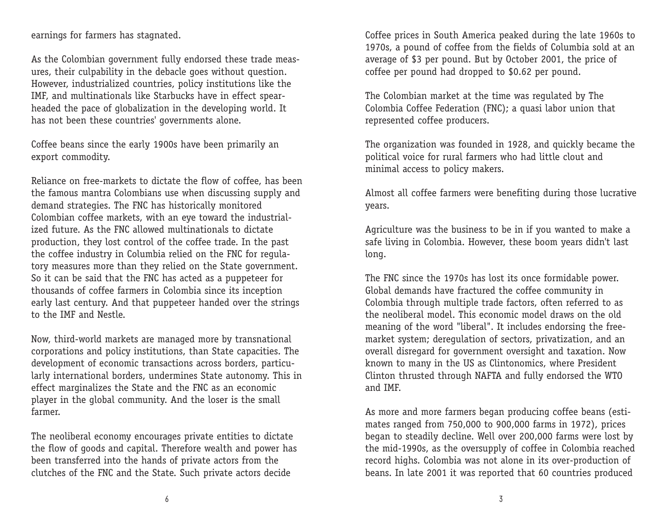earnings for farmers has stagnated.

As the Colombian government fully endorsed these trade measures, their culpability in the debacle goes without question. However, industrialized countries, policy institutions like the IMF, and multinationals like Starbucks have in effect spearheaded the pace of globalization in the developing world. It has not been these countries' governments alone.

Coffee beans since the early 1900s have been primarily an export commodity.

Reliance on free-markets to dictate the flow of coffee, has been the famous mantra Colombians use when discussing supply and demand strategies. The FNC has historically monitored Colombian coffee markets, with an eye toward the industrialized future. As the FNC allowed multinationals to dictate production, they lost control of the coffee trade. In the past the coffee industry in Columbia relied on the FNC for regulatory measures more than they relied on the State government. So it can be said that the FNC has acted as a puppeteer for thousands of coffee farmers in Colombia since its inception early last century. And that puppeteer handed over the strings to the IMF and Nestle.

Now, third-world markets are managed more by transnational corporations and policy institutions, than State capacities. The development of economic transactions across borders, particularly international borders, undermines State autonomy. This in effect marginalizes the State and the FNC as an economic player in the global community. And the loser is the small farmer.

The neoliberal economy encourages private entities to dictate the flow of goods and capital. Therefore wealth and power has been transferred into the hands of private actors from the clutches of the FNC and the State. Such private actors decide

Coffee prices in South America peaked during the late 1960s to 1970s, a pound of coffee from the fields of Columbia sold at an average of \$3 per pound. But by October 2001, the price of coffee per pound had dropped to \$0.62 per pound.

The Colombian market at the time was regulated by The Colombia Coffee Federation (FNC); a quasi labor union that represented coffee producers.

The organization was founded in 1928, and quickly became the political voice for rural farmers who had little clout and minimal access to policy makers.

Almost all coffee farmers were benefiting during those lucrative years.

Agriculture was the business to be in if you wanted to make a safe living in Colombia. However, these boom years didn't last long.

The FNC since the 1970s has lost its once formidable power. Global demands have fractured the coffee community in Colombia through multiple trade factors, often referred to as the neoliberal model. This economic model draws on the old meaning of the word "liberal". It includes endorsing the freemarket system; deregulation of sectors, privatization, and an overall disregard for government oversight and taxation. Now known to many in the US as Clintonomics, where President Clinton thrusted through NAFTA and fully endorsed the WTO and IMF.

As more and more farmers began producing coffee beans (estimates ranged from 750,000 to 900,000 farms in 1972), prices began to steadily decline. Well over 200,000 farms were lost by the mid-1990s, as the oversupply of coffee in Colombia reached record highs. Colombia was not alone in its over-production of beans. In late 2001 it was reported that 60 countries produced